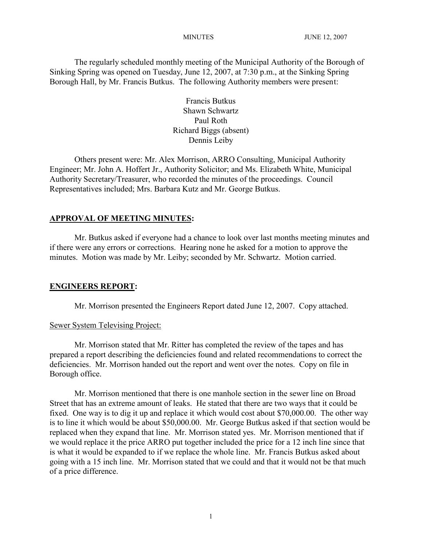The regularly scheduled monthly meeting of the Municipal Authority of the Borough of Sinking Spring was opened on Tuesday, June 12, 2007, at 7:30 p.m., at the Sinking Spring Borough Hall, by Mr. Francis Butkus. The following Authority members were present:

> Francis Butkus Shawn Schwartz Paul Roth Richard Biggs (absent) Dennis Leiby

Others present were: Mr. Alex Morrison, ARRO Consulting, Municipal Authority Engineer; Mr. John A. Hoffert Jr., Authority Solicitor; and Ms. Elizabeth White, Municipal Authority Secretary/Treasurer, who recorded the minutes of the proceedings. Council Representatives included; Mrs. Barbara Kutz and Mr. George Butkus.

## **APPROVAL OF MEETING MINUTES:**

Mr. Butkus asked if everyone had a chance to look over last months meeting minutes and if there were any errors or corrections. Hearing none he asked for a motion to approve the minutes. Motion was made by Mr. Leiby; seconded by Mr. Schwartz. Motion carried.

## **ENGINEERS REPORT:**

Mr. Morrison presented the Engineers Report dated June 12, 2007. Copy attached.

## Sewer System Televising Project:

Mr. Morrison stated that Mr. Ritter has completed the review of the tapes and has prepared a report describing the deficiencies found and related recommendations to correct the deficiencies. Mr. Morrison handed out the report and went over the notes. Copy on file in Borough office.

Mr. Morrison mentioned that there is one manhole section in the sewer line on Broad Street that has an extreme amount of leaks. He stated that there are two ways that it could be fixed. One way is to dig it up and replace it which would cost about \$70,000.00. The other way is to line it which would be about \$50,000.00. Mr. George Butkus asked if that section would be replaced when they expand that line. Mr. Morrison stated yes. Mr. Morrison mentioned that if we would replace it the price ARRO put together included the price for a 12 inch line since that is what it would be expanded to if we replace the whole line. Mr. Francis Butkus asked about going with a 15 inch line. Mr. Morrison stated that we could and that it would not be that much of a price difference.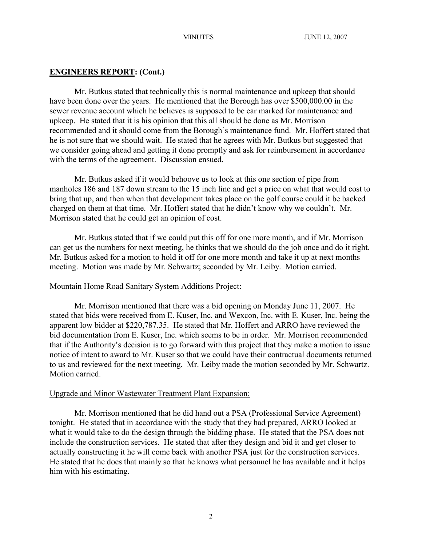## **ENGINEERS REPORT: (Cont.)**

Mr. Butkus stated that technically this is normal maintenance and upkeep that should have been done over the years. He mentioned that the Borough has over \$500,000.00 in the sewer revenue account which he believes is supposed to be ear marked for maintenance and upkeep. He stated that it is his opinion that this all should be done as Mr. Morrison recommended and it should come from the Borough's maintenance fund. Mr. Hoffert stated that he is not sure that we should wait. He stated that he agrees with Mr. Butkus but suggested that we consider going ahead and getting it done promptly and ask for reimbursement in accordance with the terms of the agreement. Discussion ensued.

Mr. Butkus asked if it would behoove us to look at this one section of pipe from manholes 186 and 187 down stream to the 15 inch line and get a price on what that would cost to bring that up, and then when that development takes place on the golf course could it be backed charged on them at that time. Mr. Hoffert stated that he didn't know why we couldn't. Mr. Morrison stated that he could get an opinion of cost.

Mr. Butkus stated that if we could put this off for one more month, and if Mr. Morrison can get us the numbers for next meeting, he thinks that we should do the job once and do it right. Mr. Butkus asked for a motion to hold it off for one more month and take it up at next months meeting. Motion was made by Mr. Schwartz; seconded by Mr. Leiby. Motion carried.

## Mountain Home Road Sanitary System Additions Project:

Mr. Morrison mentioned that there was a bid opening on Monday June 11, 2007. He stated that bids were received from E. Kuser, Inc. and Wexcon, Inc. with E. Kuser, Inc. being the apparent low bidder at \$220,787.35. He stated that Mr. Hoffert and ARRO have reviewed the bid documentation from E. Kuser, Inc. which seems to be in order. Mr. Morrison recommended that if the Authority's decision is to go forward with this project that they make a motion to issue notice of intent to award to Mr. Kuser so that we could have their contractual documents returned to us and reviewed for the next meeting. Mr. Leiby made the motion seconded by Mr. Schwartz. Motion carried.

## Upgrade and Minor Wastewater Treatment Plant Expansion:

Mr. Morrison mentioned that he did hand out a PSA (Professional Service Agreement) tonight. He stated that in accordance with the study that they had prepared, ARRO looked at what it would take to do the design through the bidding phase. He stated that the PSA does not include the construction services. He stated that after they design and bid it and get closer to actually constructing it he will come back with another PSA just for the construction services. He stated that he does that mainly so that he knows what personnel he has available and it helps him with his estimating.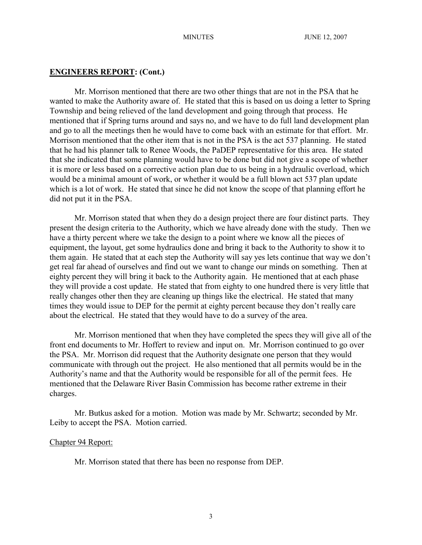### **ENGINEERS REPORT: (Cont.)**

Mr. Morrison mentioned that there are two other things that are not in the PSA that he wanted to make the Authority aware of. He stated that this is based on us doing a letter to Spring Township and being relieved of the land development and going through that process. He mentioned that if Spring turns around and says no, and we have to do full land development plan and go to all the meetings then he would have to come back with an estimate for that effort. Mr. Morrison mentioned that the other item that is not in the PSA is the act 537 planning. He stated that he had his planner talk to Renee Woods, the PaDEP representative for this area. He stated that she indicated that some planning would have to be done but did not give a scope of whether it is more or less based on a corrective action plan due to us being in a hydraulic overload, which would be a minimal amount of work, or whether it would be a full blown act 537 plan update which is a lot of work. He stated that since he did not know the scope of that planning effort he did not put it in the PSA.

Mr. Morrison stated that when they do a design project there are four distinct parts. They present the design criteria to the Authority, which we have already done with the study. Then we have a thirty percent where we take the design to a point where we know all the pieces of equipment, the layout, get some hydraulics done and bring it back to the Authority to show it to them again. He stated that at each step the Authority will say yes lets continue that way we don't get real far ahead of ourselves and find out we want to change our minds on something. Then at eighty percent they will bring it back to the Authority again. He mentioned that at each phase they will provide a cost update. He stated that from eighty to one hundred there is very little that really changes other then they are cleaning up things like the electrical. He stated that many times they would issue to DEP for the permit at eighty percent because they don't really care about the electrical. He stated that they would have to do a survey of the area.

Mr. Morrison mentioned that when they have completed the specs they will give all of the front end documents to Mr. Hoffert to review and input on. Mr. Morrison continued to go over the PSA. Mr. Morrison did request that the Authority designate one person that they would communicate with through out the project. He also mentioned that all permits would be in the Authority's name and that the Authority would be responsible for all of the permit fees. He mentioned that the Delaware River Basin Commission has become rather extreme in their charges.

Mr. Butkus asked for a motion. Motion was made by Mr. Schwartz; seconded by Mr. Leiby to accept the PSA. Motion carried.

## Chapter 94 Report:

Mr. Morrison stated that there has been no response from DEP.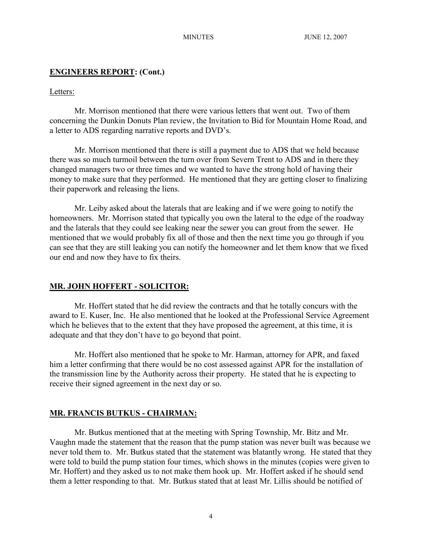## **ENGINEERS REPORT: (Cont.)**

## Letters:

Mr. Morrison mentioned that there were various letters that went out. Two of them concerning the Dunkin Donuts Plan review, the Invitation to Bid for Mountain Home Road, and a letter to ADS regarding narrative reports and DVD's.

Mr. Morrison mentioned that there is still a payment due to ADS that we held because there was so much turmoil between the turn over from Severn Trent to ADS and in there they changed managers two or three times and we wanted to have the strong hold of having their money to make sure that they performed. He mentioned that they are getting closer to finalizing their paperwork and releasing the liens.

Mr. Leiby asked about the laterals that are leaking and if we were going to notify the homeowners. Mr. Morrison stated that typically you own the lateral to the edge of the roadway and the laterals that they could see leaking near the sewer you can grout from the sewer. He mentioned that we would probably fix all of those and then the next time you go through if you can see that they are still leaking you can notify the homeowner and let them know that we fixed our end and now they have to fix theirs.

#### **MR. JOHN HOFFERT - SOLICITOR:**

Mr. Hoffert stated that he did review the contracts and that he totally concurs with the award to E. Kuser, Inc. He also mentioned that he looked at the Professional Service Agreement which he believes that to the extent that they have proposed the agreement, at this time, it is adequate and that they don't have to go beyond that point.

Mr. Hoffert also mentioned that he spoke to Mr. Harman, attorney for APR, and faxed him a letter confirming that there would be no cost assessed against APR for the installation of the transmission line by the Authority across their property. He stated that he is expecting to receive their signed agreement in the next day or so.

### **MR. FRANCIS BUTKUS - CHAIRMAN:**

Mr. Butkus mentioned that at the meeting with Spring Township, Mr. Bitz and Mr. Vaughn made the statement that the reason that the pump station was never built was because we never told them to. Mr. Butkus stated that the statement was blatantly wrong. He stated that they were told to build the pump station four times, which shows in the minutes (copies were given to Mr. Hoffert) and they asked us to not make them hook up. Mr. Hoffert asked if he should send them a letter responding to that. Mr. Butkus stated that at least Mr. Lillis should be notified of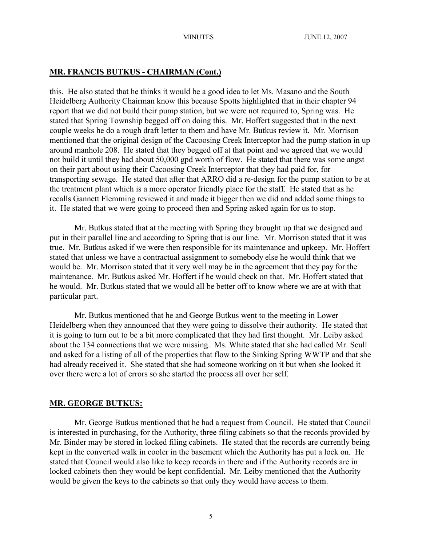# **MR. FRANCIS BUTKUS - CHAIRMAN (Cont.)**

this. He also stated that he thinks it would be a good idea to let Ms. Masano and the South Heidelberg Authority Chairman know this because Spotts highlighted that in their chapter 94 report that we did not build their pump station, but we were not required to, Spring was. He stated that Spring Township begged off on doing this. Mr. Hoffert suggested that in the next couple weeks he do a rough draft letter to them and have Mr. Butkus review it. Mr. Morrison mentioned that the original design of the Cacoosing Creek Interceptor had the pump station in up around manhole 208. He stated that they begged off at that point and we agreed that we would not build it until they had about 50,000 gpd worth of flow. He stated that there was some angst on their part about using their Cacoosing Creek Interceptor that they had paid for, for transporting sewage. He stated that after that ARRO did a re-design for the pump station to be at the treatment plant which is a more operator friendly place for the staff. He stated that as he recalls Gannett Flemming reviewed it and made it bigger then we did and added some things to it. He stated that we were going to proceed then and Spring asked again for us to stop.

Mr. Butkus stated that at the meeting with Spring they brought up that we designed and put in their parallel line and according to Spring that is our line. Mr. Morrison stated that it was true. Mr. Butkus asked if we were then responsible for its maintenance and upkeep. Mr. Hoffert stated that unless we have a contractual assignment to somebody else he would think that we would be. Mr. Morrison stated that it very well may be in the agreement that they pay for the maintenance. Mr. Butkus asked Mr. Hoffert if he would check on that. Mr. Hoffert stated that he would. Mr. Butkus stated that we would all be better off to know where we are at with that particular part.

Mr. Butkus mentioned that he and George Butkus went to the meeting in Lower Heidelberg when they announced that they were going to dissolve their authority. He stated that it is going to turn out to be a bit more complicated that they had first thought. Mr. Leiby asked about the 134 connections that we were missing. Ms. White stated that she had called Mr. Scull and asked for a listing of all of the properties that flow to the Sinking Spring WWTP and that she had already received it. She stated that she had someone working on it but when she looked it over there were a lot of errors so she started the process all over her self.

## **MR. GEORGE BUTKUS:**

Mr. George Butkus mentioned that he had a request from Council. He stated that Council is interested in purchasing, for the Authority, three filing cabinets so that the records provided by Mr. Binder may be stored in locked filing cabinets. He stated that the records are currently being kept in the converted walk in cooler in the basement which the Authority has put a lock on. He stated that Council would also like to keep records in there and if the Authority records are in locked cabinets then they would be kept confidential. Mr. Leiby mentioned that the Authority would be given the keys to the cabinets so that only they would have access to them.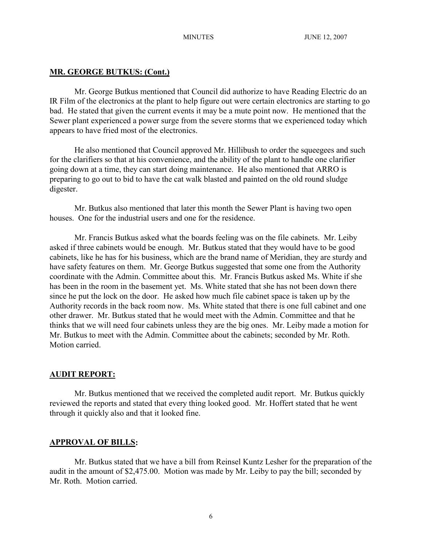## **MR. GEORGE BUTKUS: (Cont.)**

Mr. George Butkus mentioned that Council did authorize to have Reading Electric do an IR Film of the electronics at the plant to help figure out were certain electronics are starting to go bad. He stated that given the current events it may be a mute point now. He mentioned that the Sewer plant experienced a power surge from the severe storms that we experienced today which appears to have fried most of the electronics.

He also mentioned that Council approved Mr. Hillibush to order the squeegees and such for the clarifiers so that at his convenience, and the ability of the plant to handle one clarifier going down at a time, they can start doing maintenance. He also mentioned that ARRO is preparing to go out to bid to have the cat walk blasted and painted on the old round sludge digester.

Mr. Butkus also mentioned that later this month the Sewer Plant is having two open houses. One for the industrial users and one for the residence.

Mr. Francis Butkus asked what the boards feeling was on the file cabinets. Mr. Leiby asked if three cabinets would be enough. Mr. Butkus stated that they would have to be good cabinets, like he has for his business, which are the brand name of Meridian, they are sturdy and have safety features on them. Mr. George Butkus suggested that some one from the Authority coordinate with the Admin. Committee about this. Mr. Francis Butkus asked Ms. White if she has been in the room in the basement yet. Ms. White stated that she has not been down there since he put the lock on the door. He asked how much file cabinet space is taken up by the Authority records in the back room now. Ms. White stated that there is one full cabinet and one other drawer. Mr. Butkus stated that he would meet with the Admin. Committee and that he thinks that we will need four cabinets unless they are the big ones. Mr. Leiby made a motion for Mr. Butkus to meet with the Admin. Committee about the cabinets; seconded by Mr. Roth. Motion carried.

## **AUDIT REPORT:**

Mr. Butkus mentioned that we received the completed audit report. Mr. Butkus quickly reviewed the reports and stated that every thing looked good. Mr. Hoffert stated that he went through it quickly also and that it looked fine.

## **APPROVAL OF BILLS:**

Mr. Butkus stated that we have a bill from Reinsel Kuntz Lesher for the preparation of the audit in the amount of \$2,475.00. Motion was made by Mr. Leiby to pay the bill; seconded by Mr. Roth. Motion carried.